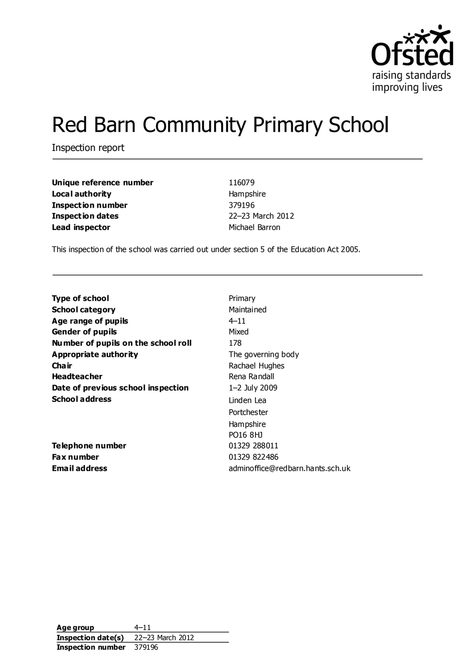

# Red Barn Community Primary School

Inspection report

| Unique reference number  | 116079           |
|--------------------------|------------------|
| Local authority          | Hampshire        |
| <b>Inspection number</b> | 379196           |
| <b>Inspection dates</b>  | 22-23 March 2012 |
| Lead inspector           | Michael Barron   |

This inspection of the school was carried out under section 5 of the Education Act 2005.

| Type of school                      | Primary                          |
|-------------------------------------|----------------------------------|
| <b>School category</b>              | Maintained                       |
| Age range of pupils                 | $4 - 11$                         |
| <b>Gender of pupils</b>             | Mixed                            |
| Number of pupils on the school roll | 178                              |
| <b>Appropriate authority</b>        | The governing body               |
| Cha ir                              | Rachael Hughes                   |
| <b>Headteacher</b>                  | Rena Randall                     |
| Date of previous school inspection  | 1–2 July 2009                    |
| <b>School address</b>               | Linden Lea                       |
|                                     | Portchester                      |
|                                     | Hampshire                        |
|                                     | PO16 8HJ                         |
| Telephone number                    | 01329 288011                     |
| <b>Fax number</b>                   | 01329 822486                     |
| <b>Email address</b>                | adminoffice@redbarn.hants.sch.uk |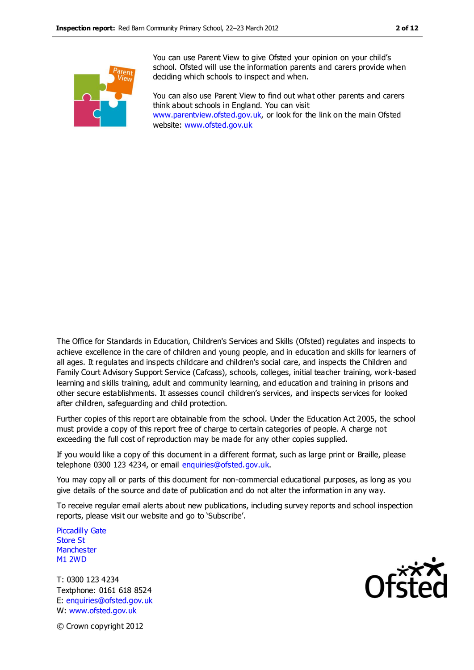

You can use Parent View to give Ofsted your opinion on your child's school. Ofsted will use the information parents and carers provide when deciding which schools to inspect and when.

You can also use Parent View to find out what other parents and carers think about schools in England. You can visit [www.parentview.ofsted.gov.uk,](http://www.parentview.ofsted.gov.uk/) or look for the link on the main Ofsted website: [www.ofsted.gov.uk](http://www.ofsted.gov.uk/)

The Office for Standards in Education, Children's Services and Skills (Ofsted) regulates and inspects to achieve excellence in the care of children and young people, and in education and skills for learners of all ages. It regulates and inspects childcare and children's social care, and inspects the Children and Family Court Advisory Support Service (Cafcass), schools, colleges, initial teacher training, work-based learning and skills training, adult and community learning, and education and training in prisons and other secure establishments. It assesses council children's services, and inspects services for looked after children, safeguarding and child protection.

Further copies of this report are obtainable from the school. Under the Education Act 2005, the school must provide a copy of this report free of charge to certain categories of people. A charge not exceeding the full cost of reproduction may be made for any other copies supplied.

If you would like a copy of this document in a different format, such as large print or Braille, please telephone 0300 123 4234, or email enquiries@ofsted.gov.uk.

You may copy all or parts of this document for non-commercial educational purposes, as long as you give details of the source and date of publication and do not alter the information in any way.

To receive regular email alerts about new publications, including survey reports and school inspection reports, please visit our website and go to 'Subscribe'.

Piccadilly Gate Store St **Manchester** M1 2WD

T: 0300 123 4234 Textphone: 0161 618 8524 E: enquiries@ofsted.gov.uk W: www.ofsted.gov.uk



© Crown copyright 2012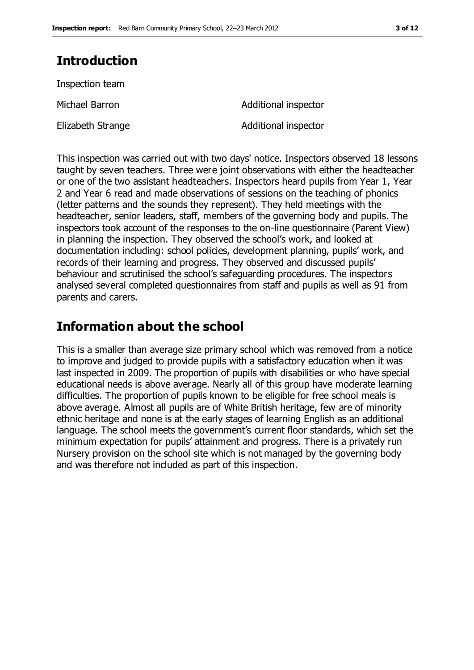### **Introduction**

Inspection team

Elizabeth Strange **Additional inspector** 

Michael Barron **Additional** inspector

This inspection was carried out with two days' notice. Inspectors observed 18 lessons taught by seven teachers. Three were joint observations with either the headteacher or one of the two assistant headteachers. Inspectors heard pupils from Year 1, Year 2 and Year 6 read and made observations of sessions on the teaching of phonics (letter patterns and the sounds they represent). They held meetings with the headteacher, senior leaders, staff, members of the governing body and pupils. The inspectors took account of the responses to the on-line questionnaire (Parent View) in planning the inspection. They observed the school's work, and looked at documentation including: school policies, development planning, pupils' work, and records of their learning and progress. They observed and discussed pupils' behaviour and scrutinised the school's safeguarding procedures. The inspectors analysed several completed questionnaires from staff and pupils as well as 91 from parents and carers.

### **Information about the school**

This is a smaller than average size primary school which was removed from a notice to improve and judged to provide pupils with a satisfactory education when it was last inspected in 2009. The proportion of pupils with disabilities or who have special educational needs is above average. Nearly all of this group have moderate learning difficulties. The proportion of pupils known to be eligible for free school meals is above average. Almost all pupils are of White British heritage, few are of minority ethnic heritage and none is at the early stages of learning English as an additional language. The school meets the government's current floor standards, which set the minimum expectation for pupils' attainment and progress. There is a privately run Nursery provision on the school site which is not managed by the governing body and was therefore not included as part of this inspection.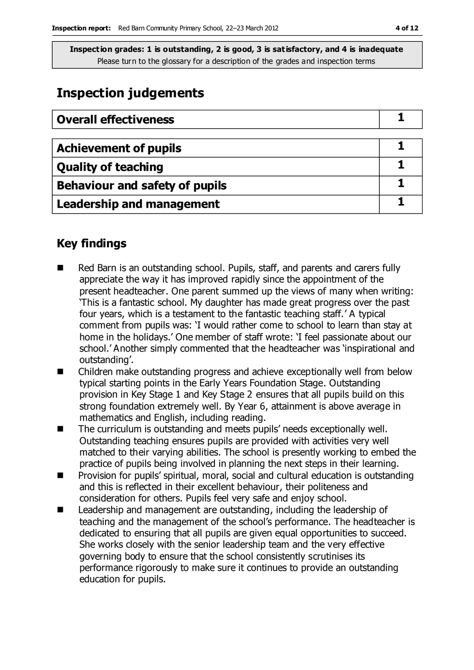### **Inspection judgements**

| <b>Overall effectiveness</b>          |  |
|---------------------------------------|--|
|                                       |  |
| <b>Achievement of pupils</b>          |  |
| <b>Quality of teaching</b>            |  |
| <b>Behaviour and safety of pupils</b> |  |
| <b>Leadership and management</b>      |  |

### **Key findings**

- Red Barn is an outstanding school. Pupils, staff, and parents and carers fully appreciate the way it has improved rapidly since the appointment of the present headteacher. One parent summed up the views of many when writing: 'This is a fantastic school. My daughter has made great progress over the past four years, which is a testament to the fantastic teaching staff.' A typical comment from pupils was: 'I would rather come to school to learn than stay at home in the holidays.' One member of staff wrote: 'I feel passionate about our school.' Another simply commented that the headteacher was 'inspirational and outstanding'.
- Children make outstanding progress and achieve exceptionally well from below typical starting points in the Early Years Foundation Stage. Outstanding provision in Key Stage 1 and Key Stage 2 ensures that all pupils build on this strong foundation extremely well. By Year 6, attainment is above average in mathematics and English, including reading.
- The curriculum is outstanding and meets pupils' needs exceptionally well. Outstanding teaching ensures pupils are provided with activities very well matched to their varying abilities. The school is presently working to embed the practice of pupils being involved in planning the next steps in their learning.
- **Provision for pupils' spiritual, moral, social and cultural education is outstanding** and this is reflected in their excellent behaviour, their politeness and consideration for others. Pupils feel very safe and enjoy school.
- Leadership and management are outstanding, including the leadership of teaching and the management of the school's performance. The headteacher is dedicated to ensuring that all pupils are given equal opportunities to succeed. She works closely with the senior leadership team and the very effective governing body to ensure that the school consistently scrutinises its performance rigorously to make sure it continues to provide an outstanding education for pupils.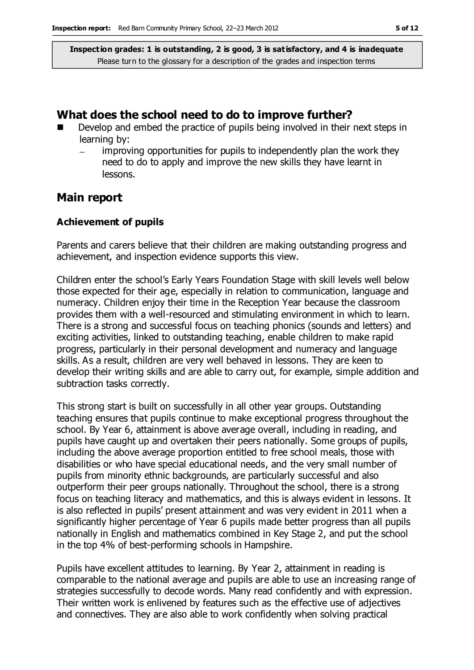#### **What does the school need to do to improve further?**

- Develop and embed the practice of pupils being involved in their next steps in learning by:
	- improving opportunities for pupils to independently plan the work they need to do to apply and improve the new skills they have learnt in lessons.

#### **Main report**

#### **Achievement of pupils**

Parents and carers believe that their children are making outstanding progress and achievement, and inspection evidence supports this view.

Children enter the school's Early Years Foundation Stage with skill levels well below those expected for their age, especially in relation to communication, language and numeracy. Children enjoy their time in the Reception Year because the classroom provides them with a well-resourced and stimulating environment in which to learn. There is a strong and successful focus on teaching phonics (sounds and letters) and exciting activities, linked to outstanding teaching, enable children to make rapid progress, particularly in their personal development and numeracy and language skills. As a result, children are very well behaved in lessons. They are keen to develop their writing skills and are able to carry out, for example, simple addition and subtraction tasks correctly.

This strong start is built on successfully in all other year groups. Outstanding teaching ensures that pupils continue to make exceptional progress throughout the school. By Year 6, attainment is above average overall, including in reading, and pupils have caught up and overtaken their peers nationally. Some groups of pupils, including the above average proportion entitled to free school meals, those with disabilities or who have special educational needs, and the very small number of pupils from minority ethnic backgrounds, are particularly successful and also outperform their peer groups nationally. Throughout the school, there is a strong focus on teaching literacy and mathematics, and this is always evident in lessons. It is also reflected in pupils' present attainment and was very evident in 2011 when a significantly higher percentage of Year 6 pupils made better progress than all pupils nationally in English and mathematics combined in Key Stage 2, and put the school in the top 4% of best-performing schools in Hampshire.

Pupils have excellent attitudes to learning. By Year 2, attainment in reading is comparable to the national average and pupils are able to use an increasing range of strategies successfully to decode words. Many read confidently and with expression. Their written work is enlivened by features such as the effective use of adjectives and connectives. They are also able to work confidently when solving practical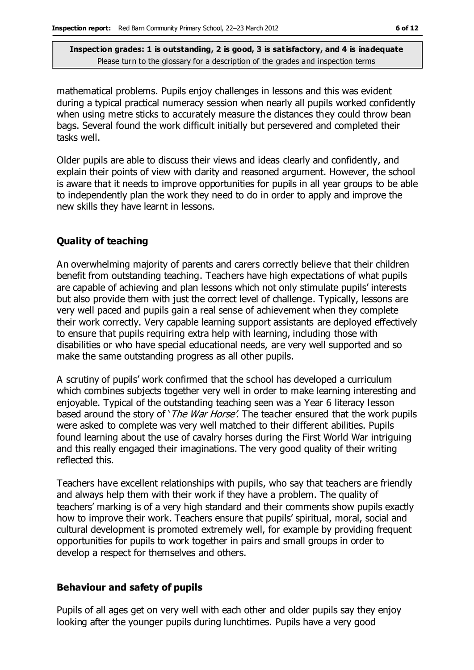mathematical problems. Pupils enjoy challenges in lessons and this was evident during a typical practical numeracy session when nearly all pupils worked confidently when using metre sticks to accurately measure the distances they could throw bean bags. Several found the work difficult initially but persevered and completed their tasks well.

Older pupils are able to discuss their views and ideas clearly and confidently, and explain their points of view with clarity and reasoned argument. However, the school is aware that it needs to improve opportunities for pupils in all year groups to be able to independently plan the work they need to do in order to apply and improve the new skills they have learnt in lessons.

#### **Quality of teaching**

An overwhelming majority of parents and carers correctly believe that their children benefit from outstanding teaching. Teachers have high expectations of what pupils are capable of achieving and plan lessons which not only stimulate pupils' interests but also provide them with just the correct level of challenge. Typically, lessons are very well paced and pupils gain a real sense of achievement when they complete their work correctly. Very capable learning support assistants are deployed effectively to ensure that pupils requiring extra help with learning, including those with disabilities or who have special educational needs, are very well supported and so make the same outstanding progress as all other pupils.

A scrutiny of pupils' work confirmed that the school has developed a curriculum which combines subjects together very well in order to make learning interesting and enjoyable. Typical of the outstanding teaching seen was a Year 6 literacy lesson based around the story of '*The War Horse'*. The teacher ensured that the work pupils were asked to complete was very well matched to their different abilities. Pupils found learning about the use of cavalry horses during the First World War intriguing and this really engaged their imaginations. The very good quality of their writing reflected this.

Teachers have excellent relationships with pupils, who say that teachers are friendly and always help them with their work if they have a problem. The quality of teachers' marking is of a very high standard and their comments show pupils exactly how to improve their work. Teachers ensure that pupils' spiritual, moral, social and cultural development is promoted extremely well, for example by providing frequent opportunities for pupils to work together in pairs and small groups in order to develop a respect for themselves and others.

#### **Behaviour and safety of pupils**

Pupils of all ages get on very well with each other and older pupils say they enjoy looking after the younger pupils during lunchtimes. Pupils have a very good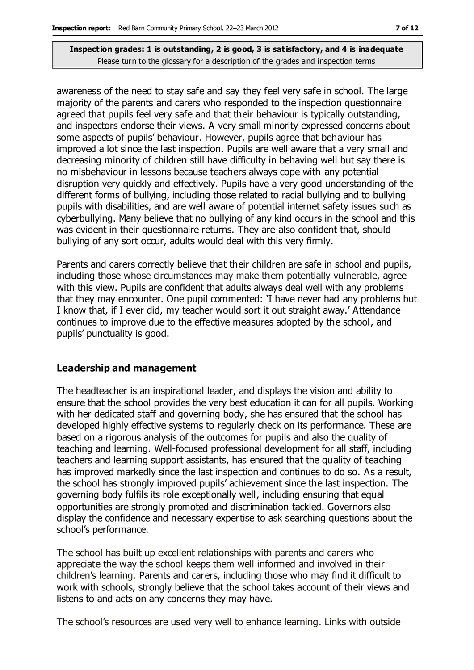awareness of the need to stay safe and say they feel very safe in school. The large majority of the parents and carers who responded to the inspection questionnaire agreed that pupils feel very safe and that their behaviour is typically outstanding, and inspectors endorse their views. A very small minority expressed concerns about some aspects of pupils' behaviour. However, pupils agree that behaviour has improved a lot since the last inspection. Pupils are well aware that a very small and decreasing minority of children still have difficulty in behaving well but say there is no misbehaviour in lessons because teachers always cope with any potential disruption very quickly and effectively. Pupils have a very good understanding of the different forms of bullying, including those related to racial bullying and to bullying pupils with disabilities, and are well aware of potential internet safety issues such as cyberbullying. Many believe that no bullying of any kind occurs in the school and this was evident in their questionnaire returns. They are also confident that, should bullying of any sort occur, adults would deal with this very firmly.

Parents and carers correctly believe that their children are safe in school and pupils, including those whose circumstances may make them potentially vulnerable, agree with this view. Pupils are confident that adults always deal well with any problems that they may encounter. One pupil commented: 'I have never had any problems but I know that, if I ever did, my teacher would sort it out straight away.' Attendance continues to improve due to the effective measures adopted by the school, and pupils' punctuality is good.

#### **Leadership and management**

The headteacher is an inspirational leader, and displays the vision and ability to ensure that the school provides the very best education it can for all pupils. Working with her dedicated staff and governing body, she has ensured that the school has developed highly effective systems to regularly check on its performance. These are based on a rigorous analysis of the outcomes for pupils and also the quality of teaching and learning. Well-focused professional development for all staff, including teachers and learning support assistants, has ensured that the quality of teaching has improved markedly since the last inspection and continues to do so. As a result, the school has strongly improved pupils' achievement since the last inspection. The governing body fulfils its role exceptionally well, including ensuring that equal opportunities are strongly promoted and discrimination tackled. Governors also display the confidence and necessary expertise to ask searching questions about the school's performance.

The school has built up excellent relationships with parents and carers who appreciate the way the school keeps them well informed and involved in their children's learning. Parents and carers, including those who may find it difficult to work with schools, strongly believe that the school takes account of their views and listens to and acts on any concerns they may have.

The school's resources are used very well to enhance learning. Links with outside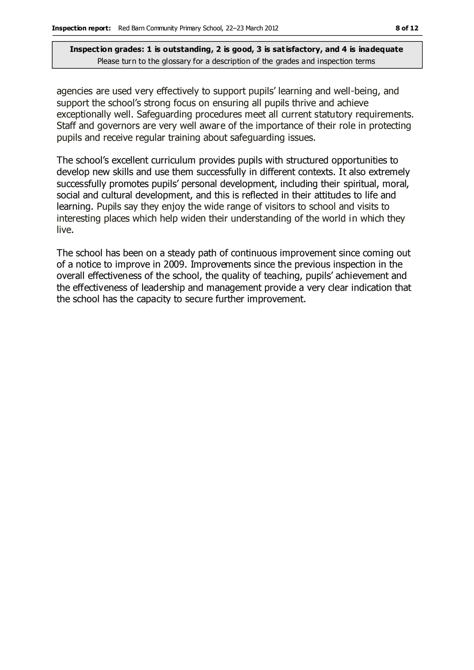agencies are used very effectively to support pupils' learning and well-being, and support the school's strong focus on ensuring all pupils thrive and achieve exceptionally well. Safeguarding procedures meet all current statutory requirements. Staff and governors are very well aware of the importance of their role in protecting pupils and receive regular training about safeguarding issues.

The school's excellent curriculum provides pupils with structured opportunities to develop new skills and use them successfully in different contexts. It also extremely successfully promotes pupils' personal development, including their spiritual, moral, social and cultural development, and this is reflected in their attitudes to life and learning. Pupils say they enjoy the wide range of visitors to school and visits to interesting places which help widen their understanding of the world in which they live.

The school has been on a steady path of continuous improvement since coming out of a notice to improve in 2009. Improvements since the previous inspection in the overall effectiveness of the school, the quality of teaching, pupils' achievement and the effectiveness of leadership and management provide a very clear indication that the school has the capacity to secure further improvement.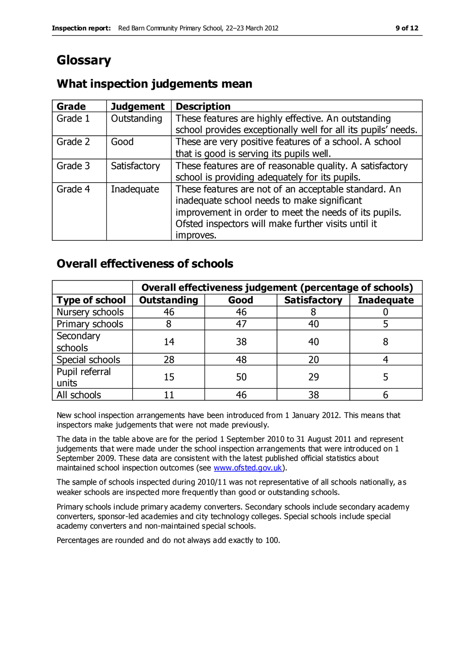## **Glossary**

### **What inspection judgements mean**

| Grade   | <b>Judgement</b> | <b>Description</b>                                                                                                                                                                                                               |
|---------|------------------|----------------------------------------------------------------------------------------------------------------------------------------------------------------------------------------------------------------------------------|
| Grade 1 | Outstanding      | These features are highly effective. An outstanding<br>school provides exceptionally well for all its pupils' needs.                                                                                                             |
| Grade 2 | Good             | These are very positive features of a school. A school<br>that is good is serving its pupils well.                                                                                                                               |
| Grade 3 | Satisfactory     | These features are of reasonable quality. A satisfactory<br>school is providing adequately for its pupils.                                                                                                                       |
| Grade 4 | Inadequate       | These features are not of an acceptable standard. An<br>inadequate school needs to make significant<br>improvement in order to meet the needs of its pupils.<br>Ofsted inspectors will make further visits until it<br>improves. |

### **Overall effectiveness of schools**

|                         | Overall effectiveness judgement (percentage of schools) |      |                     |                   |
|-------------------------|---------------------------------------------------------|------|---------------------|-------------------|
| <b>Type of school</b>   | Outstanding                                             | Good | <b>Satisfactory</b> | <b>Inadequate</b> |
| Nursery schools         | 46                                                      | 46   |                     |                   |
| Primary schools         |                                                         | 47   | 40                  |                   |
| Secondary<br>schools    | 14                                                      | 38   | 40                  |                   |
| Special schools         | 28                                                      | 48   | 20                  |                   |
| Pupil referral<br>units | 15                                                      | 50   | 29                  |                   |
| All schools             |                                                         | 46   | 38                  |                   |

New school inspection arrangements have been introduced from 1 January 2012. This means that inspectors make judgements that were not made previously.

The data in the table above are for the period 1 September 2010 to 31 August 2011 and represent judgements that were made under the school inspection arrangements that were introduced on 1 September 2009. These data are consistent with the latest published official statistics about maintained school inspection outcomes (see [www.ofsted.gov.uk\)](http://www.ofsted.gov.uk/).

The sample of schools inspected during 2010/11 was not representative of all schools nationally, as weaker schools are inspected more frequently than good or outstanding schools.

Primary schools include primary academy converters. Secondary schools include secondary academy converters, sponsor-led academies and city technology colleges. Special schools include special academy converters and non-maintained special schools.

Percentages are rounded and do not always add exactly to 100.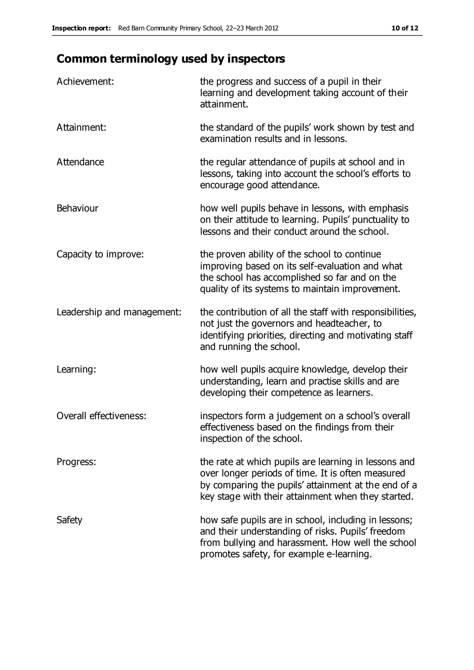### **Common terminology used by inspectors**

| Achievement:               | the progress and success of a pupil in their<br>learning and development taking account of their<br>attainment.                                                                                                        |
|----------------------------|------------------------------------------------------------------------------------------------------------------------------------------------------------------------------------------------------------------------|
| Attainment:                | the standard of the pupils' work shown by test and<br>examination results and in lessons.                                                                                                                              |
| Attendance                 | the regular attendance of pupils at school and in<br>lessons, taking into account the school's efforts to<br>encourage good attendance.                                                                                |
| Behaviour                  | how well pupils behave in lessons, with emphasis<br>on their attitude to learning. Pupils' punctuality to<br>lessons and their conduct around the school.                                                              |
| Capacity to improve:       | the proven ability of the school to continue<br>improving based on its self-evaluation and what<br>the school has accomplished so far and on the<br>quality of its systems to maintain improvement.                    |
| Leadership and management: | the contribution of all the staff with responsibilities,<br>not just the governors and headteacher, to<br>identifying priorities, directing and motivating staff<br>and running the school.                            |
| Learning:                  | how well pupils acquire knowledge, develop their<br>understanding, learn and practise skills and are<br>developing their competence as learners.                                                                       |
| Overall effectiveness:     | inspectors form a judgement on a school's overall<br>effectiveness based on the findings from their<br>inspection of the school.                                                                                       |
| Progress:                  | the rate at which pupils are learning in lessons and<br>over longer periods of time. It is often measured<br>by comparing the pupils' attainment at the end of a<br>key stage with their attainment when they started. |
| Safety                     | how safe pupils are in school, including in lessons;<br>and their understanding of risks. Pupils' freedom<br>from bullying and harassment. How well the school<br>promotes safety, for example e-learning.             |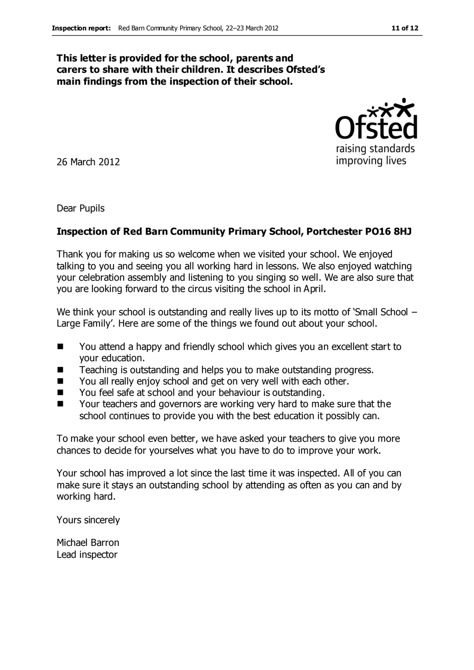#### **This letter is provided for the school, parents and carers to share with their children. It describes Ofsted's main findings from the inspection of their school.**

26 March 2012

Dear Pupils

#### **Inspection of Red Barn Community Primary School, Portchester PO16 8HJ**

Thank you for making us so welcome when we visited your school. We enjoyed talking to you and seeing you all working hard in lessons. We also enjoyed watching your celebration assembly and listening to you singing so well. We are also sure that you are looking forward to the circus visiting the school in April.

We think your school is outstanding and really lives up to its motto of 'Small School – Large Family'. Here are some of the things we found out about your school.

- You attend a happy and friendly school which gives you an excellent start to your education.
- Teaching is outstanding and helps you to make outstanding progress.
- You all really enjoy school and get on very well with each other.
- You feel safe at school and your behaviour is outstanding.
- Your teachers and governors are working very hard to make sure that the school continues to provide you with the best education it possibly can.

To make your school even better, we have asked your teachers to give you more chances to decide for yourselves what you have to do to improve your work.

Your school has improved a lot since the last time it was inspected. All of you can make sure it stays an outstanding school by attending as often as you can and by working hard.

Yours sincerely

Michael Barron Lead inspector